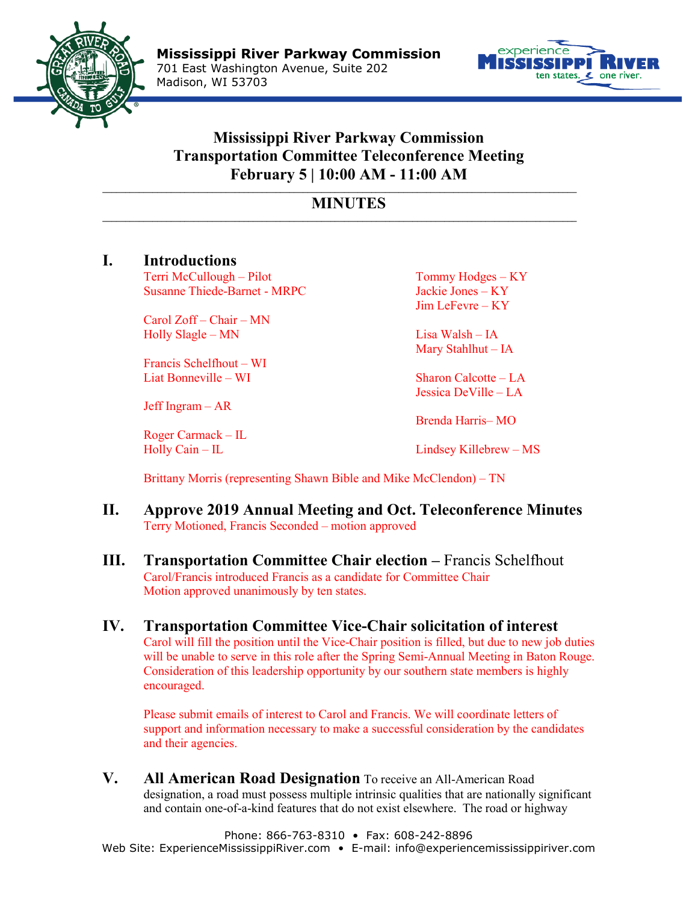



## **Mississippi River Parkway Commission Transportation Committee Teleconference Meeting February 5 | 10:00 AM - 11:00 AM**

## **\_\_\_\_\_\_\_\_\_\_\_\_\_\_\_\_\_\_\_\_\_\_\_\_\_\_\_\_\_\_\_\_\_\_\_\_\_\_\_\_\_\_\_\_\_\_\_\_\_\_\_\_\_\_\_\_\_\_\_\_\_\_\_\_\_\_\_\_\_\_\_\_\_\_\_\_\_\_\_\_\_\_\_\_\_\_\_\_\_\_\_\_\_\_\_\_\_\_\_\_\_\_\_\_ MINUTES \_\_\_\_\_\_\_\_\_\_\_\_\_\_\_\_\_\_\_\_\_\_\_\_\_\_\_\_\_\_\_\_\_\_\_\_\_\_\_\_\_\_\_\_\_\_\_\_\_\_\_\_\_\_\_\_\_\_\_\_\_\_\_\_\_\_\_\_\_\_\_\_\_\_\_\_\_\_\_\_\_\_\_\_\_\_\_\_\_\_\_\_\_\_\_\_\_\_\_\_\_\_\_\_**

## **I. Introductions**

Terri McCullough – Pilot Tommy Hodges – KY Susanne Thiede-Barnet - MRPC Jackie Jones – KY

Carol Zoff – Chair – MN Holly Slagle – MN Lisa Walsh – IA

Francis Schelfhout – WI Liat Bonneville – WI Sharon Calcotte – LA

Jeff Ingram – AR

Roger Carmack – IL

Jim LeFevre – KY

Mary Stahlhut – IA

Jessica DeVille – LA

Brenda Harris– MO

Holly Cain – IL Lindsey Killebrew – MS

Brittany Morris (representing Shawn Bible and Mike McClendon) – TN

- **II. Approve 2019 Annual Meeting and Oct. Teleconference Minutes** Terry Motioned, Francis Seconded – motion approved
- **III. Transportation Committee Chair election –** Francis Schelfhout Carol/Francis introduced Francis as a candidate for Committee Chair Motion approved unanimously by ten states.
- **IV. Transportation Committee Vice-Chair solicitation of interest** Carol will fill the position until the Vice-Chair position is filled, but due to new job duties will be unable to serve in this role after the Spring Semi-Annual Meeting in Baton Rouge. Consideration of this leadership opportunity by our southern state members is highly encouraged.

Please submit emails of interest to Carol and Francis. We will coordinate letters of support and information necessary to make a successful consideration by the candidates and their agencies.

**V. All American Road Designation** To receive an All-American Road designation, a road must possess multiple intrinsic qualities that are nationally significant and contain one-of-a-kind features that do not exist elsewhere. The road or highway

Phone: 866-763-8310 • Fax: 608-242-8896 Web Site: ExperienceMississippiRiver.com • E-mail: info@experiencemississippiriver.com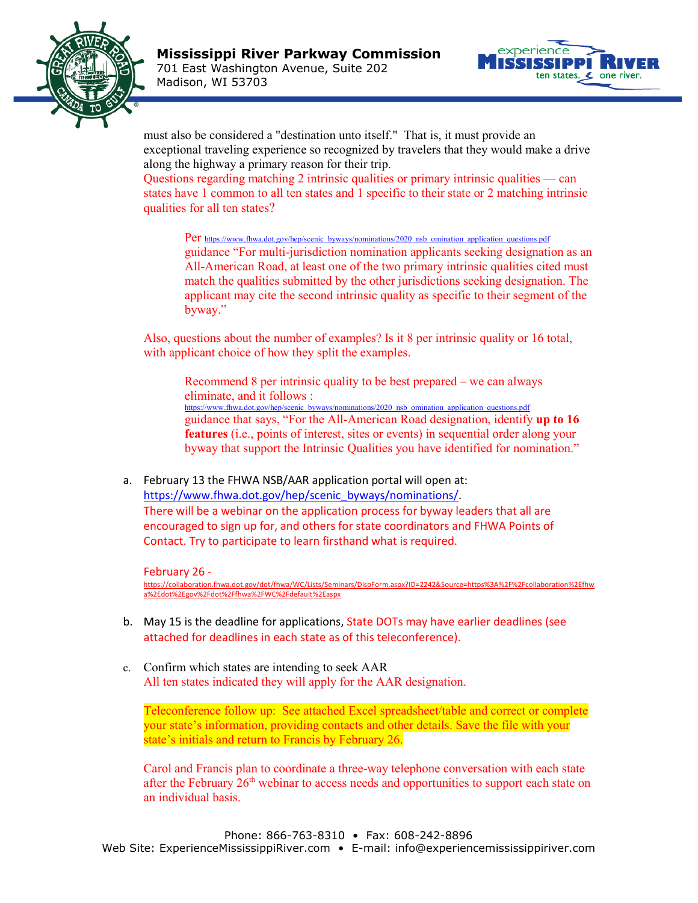



must also be considered a "destination unto itself." That is, it must provide an exceptional traveling experience so recognized by travelers that they would make a drive along the highway a primary reason for their trip.

Questions regarding matching 2 intrinsic qualities or primary intrinsic qualities –– can states have 1 common to all ten states and 1 specific to their state or 2 matching intrinsic qualities for all ten states?

Per [https://www.fhwa.dot.gov/hep/scenic\\_byways/nominations/2020\\_nsb\\_omination\\_application\\_questions.pdf](https://www.fhwa.dot.gov/hep/scenic_byways/nominations/2020_nsb_omination_application_questions.pdf) guidance "For multi-jurisdiction nomination applicants seeking designation as an All-American Road, at least one of the two primary intrinsic qualities cited must match the qualities submitted by the other jurisdictions seeking designation. The applicant may cite the second intrinsic quality as specific to their segment of the byway."

Also, questions about the number of examples? Is it 8 per intrinsic quality or 16 total, with applicant choice of how they split the examples.

Recommend 8 per intrinsic quality to be best prepared – we can always eliminate, and it follows : [https://www.fhwa.dot.gov/hep/scenic\\_byways/nominations/2020\\_nsb\\_omination\\_application\\_questions.pdf](https://www.fhwa.dot.gov/hep/scenic_byways/nominations/2020_nsb_omination_application_questions.pdf) guidance that says, "For the All-American Road designation, identify **up to 16 features** (i.e., points of interest, sites or events) in sequential order along your byway that support the Intrinsic Qualities you have identified for nomination."

a. February 13 the FHWA NSB/AAR application portal will open at: [https://www.fhwa.dot.gov/hep/scenic\\_byways/nominations/.](https://www.fhwa.dot.gov/hep/scenic_byways/nominations/) There will be a webinar on the application process for byway leaders that all are encouraged to sign up for, and others for state coordinators and FHWA Points of Contact. Try to participate to learn firsthand what is required.

February 26 [https://collaboration.fhwa.dot.gov/dot/fhwa/WC/Lists/Seminars/DispForm.aspx?ID=2242&Source=https%3A%2F%2Fcollaboration%2Efhw](https://collaboration.fhwa.dot.gov/dot/fhwa/WC/Lists/Seminars/DispForm.aspx?ID=2242&Source=https%3A%2F%2Fcollaboration%2Efhwa%2Edot%2Egov%2Fdot%2Ffhwa%2FWC%2Fdefault%2Easpx) [a%2Edot%2Egov%2Fdot%2Ffhwa%2FWC%2Fdefault%2Easpx](https://collaboration.fhwa.dot.gov/dot/fhwa/WC/Lists/Seminars/DispForm.aspx?ID=2242&Source=https%3A%2F%2Fcollaboration%2Efhwa%2Edot%2Egov%2Fdot%2Ffhwa%2FWC%2Fdefault%2Easpx)

- b. May 15 is the deadline for applications, State DOTs may have earlier deadlines (see attached for deadlines in each state as of this teleconference).
- c. Confirm which states are intending to seek AAR All ten states indicated they will apply for the AAR designation.

Teleconference follow up: See attached Excel spreadsheet/table and correct or complete your state's information, providing contacts and other details. Save the file with your state's initials and return to Francis by February 26.

Carol and Francis plan to coordinate a three-way telephone conversation with each state after the February  $26<sup>th</sup>$  webinar to access needs and opportunities to support each state on an individual basis.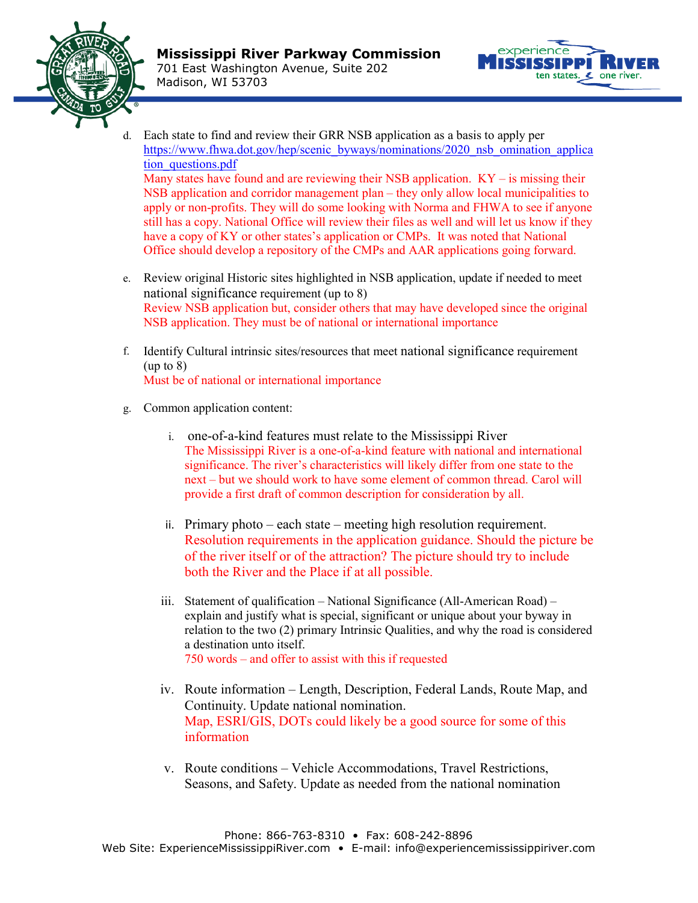



- d. Each state to find and review their GRR NSB application as a basis to apply per [https://www.fhwa.dot.gov/hep/scenic\\_byways/nominations/2020\\_nsb\\_omination\\_applica](https://www.fhwa.dot.gov/hep/scenic_byways/nominations/2020_nsb_omination_application_questions.pdf) [tion\\_questions.pdf](https://www.fhwa.dot.gov/hep/scenic_byways/nominations/2020_nsb_omination_application_questions.pdf) Many states have found and are reviewing their NSB application.  $KY - is$  missing their NSB application and corridor management plan – they only allow local municipalities to apply or non-profits. They will do some looking with Norma and FHWA to see if anyone still has a copy. National Office will review their files as well and will let us know if they have a copy of KY or other states's application or CMPs. It was noted that National Office should develop a repository of the CMPs and AAR applications going forward.
- e. Review original Historic sites highlighted in NSB application, update if needed to meet national significance requirement (up to 8) Review NSB application but, consider others that may have developed since the original NSB application. They must be of national or international importance
- f. Identify Cultural intrinsic sites/resources that meet national significance requirement (up to 8) Must be of national or international importance
- g. Common application content:
	- i. one-of-a-kind features must relate to the Mississippi River The Mississippi River is a one-of-a-kind feature with national and international significance. The river's characteristics will likely differ from one state to the next – but we should work to have some element of common thread. Carol will provide a first draft of common description for consideration by all.
	- ii. Primary photo each state meeting high resolution requirement. Resolution requirements in the application guidance. Should the picture be of the river itself or of the attraction? The picture should try to include both the River and the Place if at all possible.
	- iii. Statement of qualification National Significance (All-American Road) explain and justify what is special, significant or unique about your byway in relation to the two (2) primary Intrinsic Qualities, and why the road is considered a destination unto itself. 750 words – and offer to assist with this if requested
	- iv. Route information Length, Description, Federal Lands, Route Map, and Continuity. Update national nomination. Map, ESRI/GIS, DOTs could likely be a good source for some of this information
	- v. Route conditions Vehicle Accommodations, Travel Restrictions, Seasons, and Safety. Update as needed from the national nomination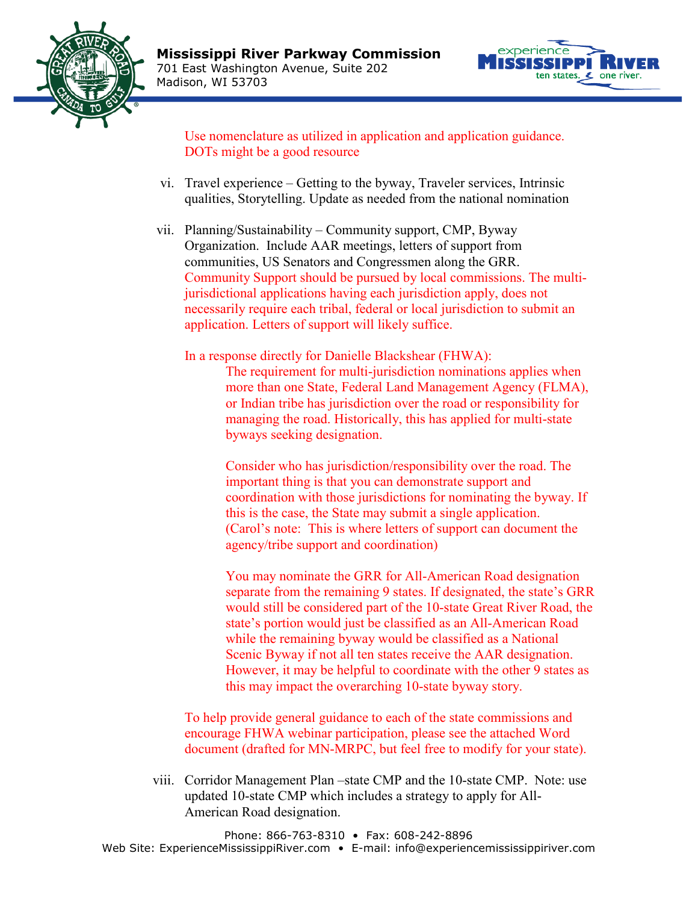



Use nomenclature as utilized in application and application guidance. DOTs might be a good resource

- vi. Travel experience Getting to the byway, Traveler services, Intrinsic qualities, Storytelling. Update as needed from the national nomination
- vii. Planning/Sustainability Community support, CMP, Byway Organization. Include AAR meetings, letters of support from communities, US Senators and Congressmen along the GRR. Community Support should be pursued by local commissions. The multijurisdictional applications having each jurisdiction apply, does not necessarily require each tribal, federal or local jurisdiction to submit an application. Letters of support will likely suffice.

In a response directly for Danielle Blackshear (FHWA): The requirement for multi-jurisdiction nominations applies when more than one State, Federal Land Management Agency (FLMA), or Indian tribe has jurisdiction over the road or responsibility for managing the road. Historically, this has applied for multi-state byways seeking designation.

> Consider who has jurisdiction/responsibility over the road. The important thing is that you can demonstrate support and coordination with those jurisdictions for nominating the byway. If this is the case, the State may submit a single application. (Carol's note: This is where letters of support can document the agency/tribe support and coordination)

You may nominate the GRR for All-American Road designation separate from the remaining 9 states. If designated, the state's GRR would still be considered part of the 10-state Great River Road, the state's portion would just be classified as an All-American Road while the remaining byway would be classified as a National Scenic Byway if not all ten states receive the AAR designation. However, it may be helpful to coordinate with the other 9 states as this may impact the overarching 10-state byway story.

To help provide general guidance to each of the state commissions and encourage FHWA webinar participation, please see the attached Word document (drafted for MN-MRPC, but feel free to modify for your state).

viii. Corridor Management Plan –state CMP and the 10-state CMP. Note: use updated 10-state CMP which includes a strategy to apply for All-American Road designation.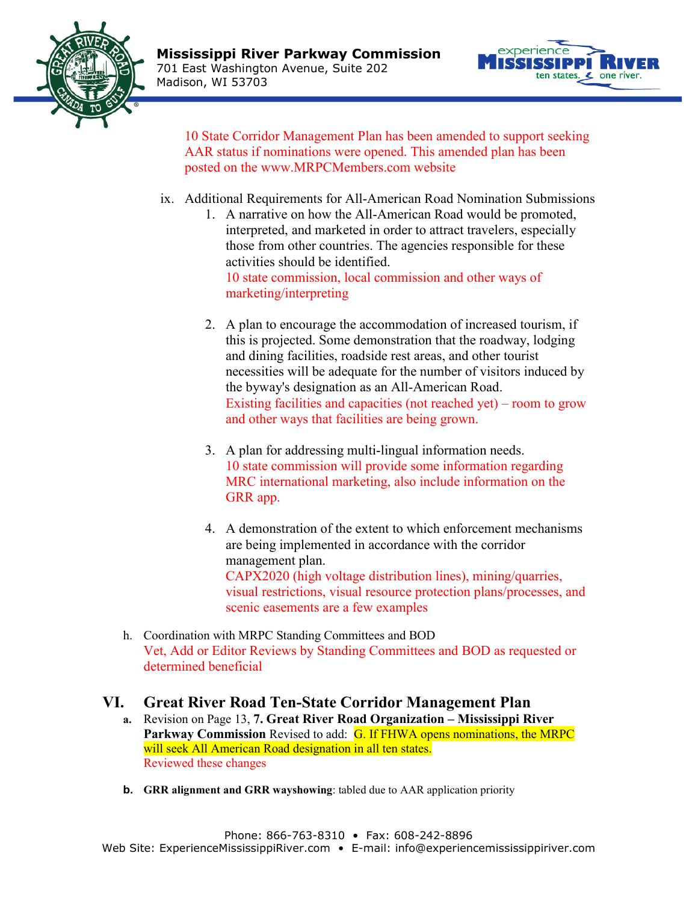



10 State Corridor Management Plan has been amended to support seeking AAR status if nominations were opened. This amended plan has been posted on the www.MRPCMembers.com website

- ix. Additional Requirements for All-American Road Nomination Submissions
	- 1. A narrative on how the All-American Road would be promoted, interpreted, and marketed in order to attract travelers, especially those from other countries. The agencies responsible for these activities should be identified. 10 state commission, local commission and other ways of marketing/interpreting
	- 2. A plan to encourage the accommodation of increased tourism, if this is projected. Some demonstration that the roadway, lodging and dining facilities, roadside rest areas, and other tourist necessities will be adequate for the number of visitors induced by the byway's designation as an All-American Road. Existing facilities and capacities (not reached yet) – room to grow and other ways that facilities are being grown.
	- 3. A plan for addressing multi-lingual information needs. 10 state commission will provide some information regarding MRC international marketing, also include information on the GRR app.
	- 4. A demonstration of the extent to which enforcement mechanisms are being implemented in accordance with the corridor management plan. CAPX2020 (high voltage distribution lines), mining/quarries, visual restrictions, visual resource protection plans/processes, and scenic easements are a few examples
- h. Coordination with MRPC Standing Committees and BOD Vet, Add or Editor Reviews by Standing Committees and BOD as requested or determined beneficial

## **VI. Great River Road Ten-State Corridor Management Plan**

- **a.** Revision on Page 13, **7. Great River Road Organization – Mississippi River**  Parkway Commission Revised to add: G. If FHWA opens nominations, the MRPC will seek All American Road designation in all ten states. Reviewed these changes
- **b. GRR alignment and GRR wayshowing**: tabled due to AAR application priority